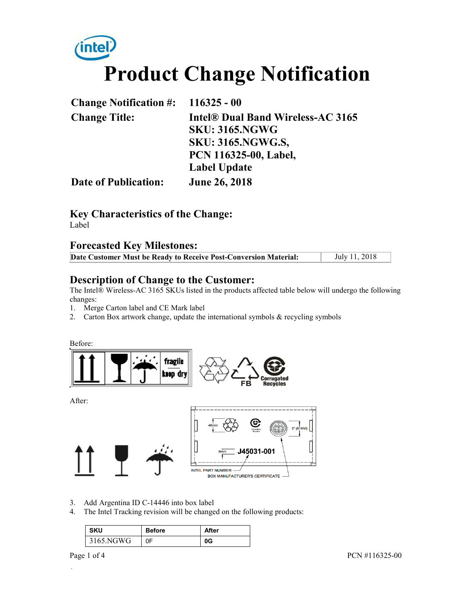# **Product Change Notification**

| Change Notification $\#$ : 116325 - 00 |                                   |
|----------------------------------------|-----------------------------------|
| <b>Change Title:</b>                   | Intel® Dual Band Wireless-AC 3165 |
|                                        | <b>SKU: 3165.NGWG</b>             |
|                                        | <b>SKU: 3165.NGWG.S,</b>          |
|                                        | PCN 116325-00, Label,             |
|                                        | <b>Label Update</b>               |
| <b>Date of Publication:</b>            | <b>June 26, 2018</b>              |

# **Key Characteristics of the Change:**

Label

# **Forecasted Key Milestones:**

| Date Customer Must be Ready to Receive Post-Conversion Material: | July 11, 2018 |
|------------------------------------------------------------------|---------------|
|                                                                  |               |

### **Description of Change to the Customer:**

The Intel® Wireless-AC 3165 SKUs listed in the products affected table below will undergo the following changes:

- 1. Merge Carton label and CE Mark label
- 2. Carton Box artwork change, update the international symbols & recycling symbols

Before:



After:



- 3. Add Argentina ID C-14446 into box label
- 4. The Intel Tracking revision will be changed on the following products:

| <b>SKU</b> | <b>Before</b> | After |
|------------|---------------|-------|
| 3165.NGWG  | 0F            |       |

.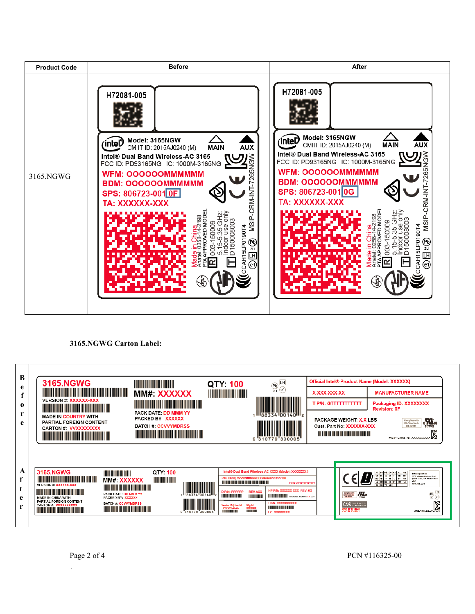

#### **3165.NGWG Carton Label:**

| B<br>e        | <b>3165.NGWG</b><br><u> The Community of the Community of the Community of the Community of the Community of the Community of the Community of the Community of the Community of the Community of the Community of the Community of the Community of</u>                                                                                                                                                                                                                                                                                                                                                                                                                                                                                                                                                                                                                                                                                                                                                                        | MM#: XXXXXX                                                                                                                                                                                                                                                                                                                                                                 | QTY: 100                                                                                                               | LH<br>$\begin{matrix} 1 \\ 2 \end{matrix}$<br>(e1)                                                                                                                                                                                                                                                                                                                                                                                                                                                                                                      | Official Intel® Product Name (Model: XXXXXX)<br>X-XXX-XXX-XX                                                                      | <b>MANUFACTURER NAME</b>                                                                                                                                                                                                                                                                                                                                                                                                                                                                                                                                                                   |
|---------------|---------------------------------------------------------------------------------------------------------------------------------------------------------------------------------------------------------------------------------------------------------------------------------------------------------------------------------------------------------------------------------------------------------------------------------------------------------------------------------------------------------------------------------------------------------------------------------------------------------------------------------------------------------------------------------------------------------------------------------------------------------------------------------------------------------------------------------------------------------------------------------------------------------------------------------------------------------------------------------------------------------------------------------|-----------------------------------------------------------------------------------------------------------------------------------------------------------------------------------------------------------------------------------------------------------------------------------------------------------------------------------------------------------------------------|------------------------------------------------------------------------------------------------------------------------|---------------------------------------------------------------------------------------------------------------------------------------------------------------------------------------------------------------------------------------------------------------------------------------------------------------------------------------------------------------------------------------------------------------------------------------------------------------------------------------------------------------------------------------------------------|-----------------------------------------------------------------------------------------------------------------------------------|--------------------------------------------------------------------------------------------------------------------------------------------------------------------------------------------------------------------------------------------------------------------------------------------------------------------------------------------------------------------------------------------------------------------------------------------------------------------------------------------------------------------------------------------------------------------------------------------|
| $\bf{0}$<br>e | <b>VERSION #: XXXXXX-XXX</b><br><u> Tanzania de la contrada de la contrada de la con</u><br><b>MADE IN COUNTRY WITH</b><br>PARTIAL FOREIGN CONTENT<br><b>CARTON #: VVXXXXXXXX</b><br><u> Tanzania di Baratta di Baratta di Baratta di Baratta di Baratta di Baratta di Baratta di Baratta di Baratta di Baratta di Baratta di Baratta di Baratta di Baratta di Baratta di Baratta di Baratta di Baratta di Baratta di</u>                                                                                                                                                                                                                                                                                                                                                                                                                                                                                                                                                                                                       | <u> Tanzania de la contrada de la contrada de la con</u><br>PACK DATE: DD MMM YY<br>PACKED BY: XXXXXX<br><b>BATCH #: CCVVYMDRSS</b><br><u> Harry Harry Harry Harry Harry Harry Harry Harry Harry Harry Harry Harry Harry Harry Harry Harry Harry Harry Harry Harry Harry Harry Harry Harry Harry Harry Harry Harry Harry Harry Harry Harry Harry Harry Harry Harry Harr</u> |                                                                                                                        | III88334 00140 UII <sub>2</sub>                                                                                                                                                                                                                                                                                                                                                                                                                                                                                                                         | <b>T P/N: GTTTTTTTTTTTT</b><br><b>PACKAGE WEIGHT: X.X LBS</b><br>Cust. Part No: XXXXXX-XXX<br>.                                   | Packaging ID: XXXXXXXX<br><b>Revision: OF</b><br>aV <sub>u</sub><br>Complies with<br><b>IDA Standards</b><br>DB 02941<br>E178682<br>MSIP-CRM-INT-XXXXXXXXXX                                                                                                                                                                                                                                                                                                                                                                                                                                |
| A<br>c<br>e   | 3165.NGWG<br><b>The Community</b><br><u> The Community of the Community of the Community of the Community of the Community of the Community of the Community of the Community of the Community of the Community of the Community of the Community of the Community of</u><br>MM#: XXXXXX<br><b>VERSION #: XXXXXX-XXX</b><br><u> Tanzania de la provincia de la provincia de la provincia de la provincia de la provincia de la provincia de</u><br><u> Timografia de la provincia de la provincia de la provincia de la provincia de la provincia de la provincia de</u><br><b>PACK DATE: DD MMM YY</b><br><b>MADE IN CHINA WITH</b><br><b>PACKED BY: XXXXXX</b><br>PARTIAL FOREIGN CONTENT<br><b>BATCH#: CCVVYMDRSS</b><br><b>CARTON #: WXXXXXXXX</b><br><u> Timba ka matsayin sa shekara ta 1989 da shekara ta 1989 da shekara ta 1989 da shekara ta 1989 da shekara ta 1989 da shekara ta 1989 da shekara ta 1989 da shekara ta 1989 da shekara ta 1989 da shekara ta 1989 da shekara t</u><br><u> Herman Herman Star Ba</u> | QTY: 100<br><b>The Community</b><br>88334 00140                                                                                                                                                                                                                                                                                                                             | .<br><b>D P/N: PPPPPP</b><br><b>HERE'S AND THE REAL</b><br>endor ID I Loc Id<br><b>WWWILLLL</b><br>ili ili ili ili ili | Intel® Dual Band Wireless-AC XXXX (Model: XXXXXXX)<br>PKG ID (3S) VVVVVMMMMMDDD#####PPPPPP100<br><b>T P/N: GTTTTTTTTTTTTT</b><br>HP P/N: XXXXXX-XXX REV: 0G<br><b>REV AXX</b><br><b>THEFFER PACKAGE WEIGHT: XXLB3</b><br>III III III<br>L P/N: XXXXXXXXXX<br>Mfg Id<br>MMMMM<br><u>The contract of the contract of the contract of the contract of the contract of the contract of the contract of the contract of the contract of the contract of the contract of the contract of the contract of the contract </u><br><b>THE REAL</b><br>EC: XXXXXXXX | $\sum_{\text{max}}$<br>Complies with<br>IDA Standards<br>DR 02941<br><b>CNC</b> INSTRUCTION<br>CNC ID: C-14446<br>CNC ID: C-14441 | AT BE BG CH CY CZ DE<br>Intel Corporation<br>DKELBER R<br>2200 Mission College Blvd<br><b>Huirs Installet Lu</b><br>Santa Clara, CA 95054-1549<br><b>USA</b><br>LV MT NL PL PT RO SE<br>www.intel.com<br>$\begin{picture}(120,15) \put(0,0){\line(1,0){15}} \put(15,0){\line(1,0){15}} \put(15,0){\line(1,0){15}} \put(15,0){\line(1,0){15}} \put(15,0){\line(1,0){15}} \put(15,0){\line(1,0){15}} \put(15,0){\line(1,0){15}} \put(15,0){\line(1,0){15}} \put(15,0){\line(1,0){15}} \put(15,0){\line(1,0){15}} \put(15,0){\line(1,0){15}} \put(15,0){\line($<br><b>VSIP-CRAFINT-XXXXXX</b> |

.

 $\blacksquare$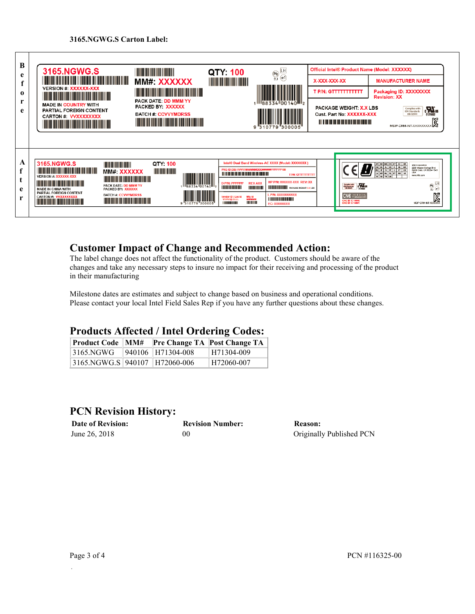

# **Customer Impact of Change and Recommended Action:**

The label change does not affect the functionality of the product. Customers should be aware of the changes and take any necessary steps to insure no impact for their receiving and processing of the product in their manufacturing

Milestone dates are estimates and subject to change based on business and operational conditions. Please contact your local Intel Field Sales Rep if you have any further questions about these changes.

# **Products Affected / Intel Ordering Codes:**

| <b>Product Code   MM#</b>     |                   | <b>Pre Change TA Post Change TA</b> |
|-------------------------------|-------------------|-------------------------------------|
| 3165.NGWG                     | 940106 H71304-008 | H71304-009                          |
| 3165.NGWG.S 940107 H72060-006 |                   | H72060-007                          |

# **PCN Revision History:**

| <b>Date of Revision:</b> | <b>Revision Number:</b> | Reason:                  |
|--------------------------|-------------------------|--------------------------|
| June 26, 2018            | 00                      | Originally Published PCN |

.